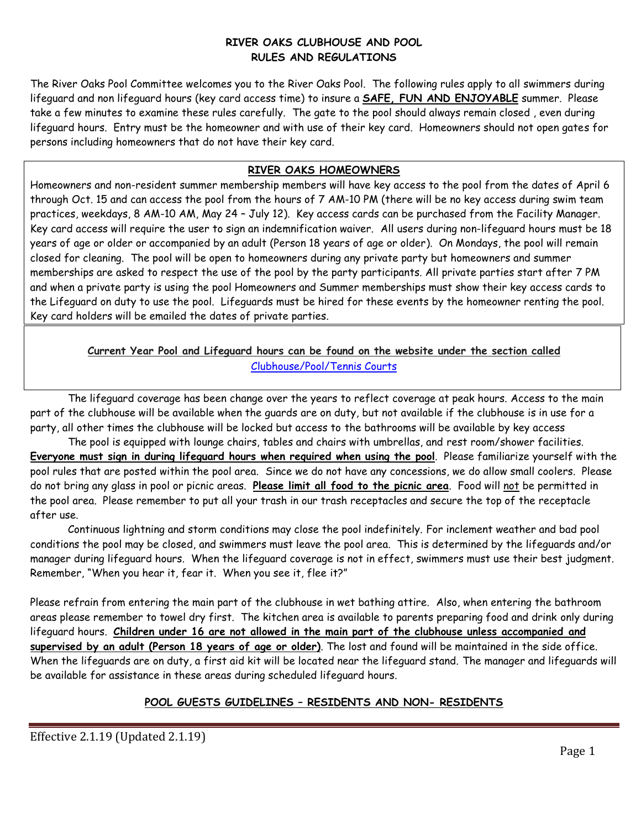#### **RIVER OAKS CLUBHOUSE AND POOL RULES AND REGULATIONS**

The River Oaks Pool Committee welcomes you to the River Oaks Pool. The following rules apply to all swimmers during lifeguard and non lifeguard hours (key card access time) to insure a **SAFE, FUN AND ENJOYABLE** summer. Please take a few minutes to examine these rules carefully. The gate to the pool should always remain closed , even during lifeguard hours. Entry must be the homeowner and with use of their key card. Homeowners should not open gates for persons including homeowners that do not have their key card.

#### **RIVER OAKS HOMEOWNERS**

Homeowners and non-resident summer membership members will have key access to the pool from the dates of April 6 through Oct. 15 and can access the pool from the hours of 7 AM-10 PM (there will be no key access during swim team practices, weekdays, 8 AM-10 AM, May 24 – July 12). Key access cards can be purchased from the Facility Manager. Key card access will require the user to sign an indemnification waiver. All users during non-lifeguard hours must be 18 years of age or older or accompanied by an adult (Person 18 years of age or older). On Mondays, the pool will remain closed for cleaning. The pool will be open to homeowners during any private party but homeowners and summer memberships are asked to respect the use of the pool by the party participants. All private parties start after 7 PM and when a private party is using the pool Homeowners and Summer memberships must show their key access cards to the Lifeguard on duty to use the pool. Lifeguards must be hired for these events by the homeowner renting the pool. Key card holders will be emailed the dates of private parties.

### **Current Year Pool and Lifeguard hours can be found on the website under the section called** [Clubhouse/Pool/Tennis](file:///C:/Users/benni/OneDrive/Documents/RIVER%20OAKS/Web%20Site%20Documents/2020%20Documents/2020%20Pool%20and%20%20Lifeguard%20Hours%20(Updated%201.8.20).pdf) Courts

The lifeguard coverage has been change over the years to reflect coverage at peak hours. Access to the main part of the clubhouse will be available when the guards are on duty, but not available if the clubhouse is in use for a party, all other times the clubhouse will be locked but access to the bathrooms will be available by key access

The pool is equipped with lounge chairs, tables and chairs with umbrellas, and rest room/shower facilities. **Everyone must sign in during lifeguard hours when required when using the pool**. Please familiarize yourself with the pool rules that are posted within the pool area. Since we do not have any concessions, we do allow small coolers. Please do not bring any glass in pool or picnic areas. **Please limit all food to the picnic area**. Food will not be permitted in the pool area. Please remember to put all your trash in our trash receptacles and secure the top of the receptacle after use.

Continuous lightning and storm conditions may close the pool indefinitely. For inclement weather and bad pool conditions the pool may be closed, and swimmers must leave the pool area. This is determined by the lifeguards and/or manager during lifeguard hours. When the lifeguard coverage is not in effect, swimmers must use their best judgment. Remember, "When you hear it, fear it. When you see it, flee it?"

Please refrain from entering the main part of the clubhouse in wet bathing attire. Also, when entering the bathroom areas please remember to towel dry first. The kitchen area is available to parents preparing food and drink only during lifeguard hours. **Children under 16 are not allowed in the main part of the clubhouse unless accompanied and supervised by an adult (Person 18 years of age or older)**. The lost and found will be maintained in the side office. When the lifeguards are on duty, a first aid kit will be located near the lifeguard stand. The manager and lifeguards will be available for assistance in these areas during scheduled lifeguard hours.

### **POOL GUESTS GUIDELINES – RESIDENTS AND NON- RESIDENTS**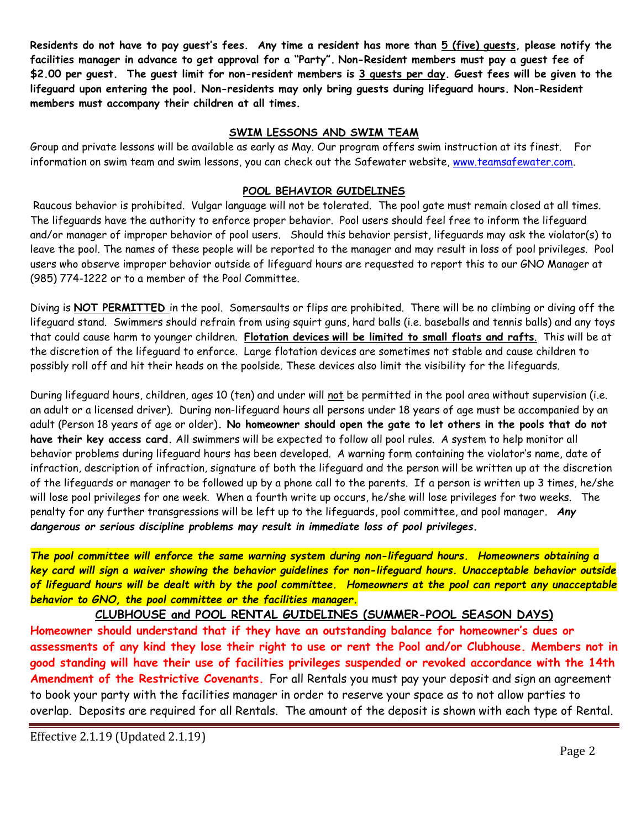**Residents do not have to pay guest's fees. Any time a resident has more than 5 (five) guests, please notify the facilities manager in advance to get approval for a "Party". Non-Resident members must pay a guest fee of \$2.00 per guest. The guest limit for non-resident members is 3 guests per day. Guest fees will be given to the lifeguard upon entering the pool. Non-residents may only bring guests during lifeguard hours. Non-Resident members must accompany their children at all times.**

#### **SWIM LESSONS AND SWIM TEAM**

Group and private lessons will be available as early as May. Our program offers swim instruction at its finest. For information on swim team and swim lessons, you can check out the Safewater website, [www.teamsafewater.com.](http://www.teamsafewater.com/)

#### **POOL BEHAVIOR GUIDELINES**

Raucous behavior is prohibited. Vulgar language will not be tolerated. The pool gate must remain closed at all times. The lifeguards have the authority to enforce proper behavior. Pool users should feel free to inform the lifeguard and/or manager of improper behavior of pool users. Should this behavior persist, lifeguards may ask the violator(s) to leave the pool. The names of these people will be reported to the manager and may result in loss of pool privileges. Pool users who observe improper behavior outside of lifeguard hours are requested to report this to our GNO Manager at (985) 774-1222 or to a member of the Pool Committee.

Diving is **NOT PERMITTED** in the pool. Somersaults or flips are prohibited. There will be no climbing or diving off the lifeguard stand. Swimmers should refrain from using squirt guns, hard balls (i.e. baseballs and tennis balls) and any toys that could cause harm to younger children. **Flotation devices will be limited to small floats and rafts**. This will be at the discretion of the lifeguard to enforce. Large flotation devices are sometimes not stable and cause children to possibly roll off and hit their heads on the poolside. These devices also limit the visibility for the lifeguards.

During lifeguard hours, children, ages 10 (ten) and under will not be permitted in the pool area without supervision (i.e. an adult or a licensed driver). During non-lifeguard hours all persons under 18 years of age must be accompanied by an adult (Person 18 years of age or older)**. No homeowner should open the gate to let others in the pools that do not have their key access card.** All swimmers will be expected to follow all pool rules. A system to help monitor all behavior problems during lifeguard hours has been developed. A warning form containing the violator's name, date of infraction, description of infraction, signature of both the lifeguard and the person will be written up at the discretion of the lifeguards or manager to be followed up by a phone call to the parents. If a person is written up 3 times, he/she will lose pool privileges for one week. When a fourth write up occurs, he/she will lose privileges for two weeks. The penalty for any further transgressions will be left up to the lifeguards, pool committee, and pool manager*. Any dangerous or serious discipline problems may result in immediate loss of pool privileges.*

*The pool committee will enforce the same warning system during non-lifeguard hours. Homeowners obtaining a key card will sign a waiver showing the behavior guidelines for non-lifeguard hours. Unacceptable behavior outside of lifeguard hours will be dealt with by the pool committee. Homeowners at the pool can report any unacceptable behavior to GNO, the pool committee or the facilities manager.*

### **CLUBHOUSE and POOL RENTAL GUIDELINES (SUMMER-POOL SEASON DAYS)**

**Homeowner should understand that if they have an outstanding balance for homeowner's dues or assessments of any kind they lose their right to use or rent the Pool and/or Clubhouse. Members not in good standing will have their use of facilities privileges suspended or revoked accordance with the 14th Amendment of the Restrictive Covenants.** For all Rentals you must pay your deposit and sign an agreement to book your party with the facilities manager in order to reserve your space as to not allow parties to overlap. Deposits are required for all Rentals. The amount of the deposit is shown with each type of Rental.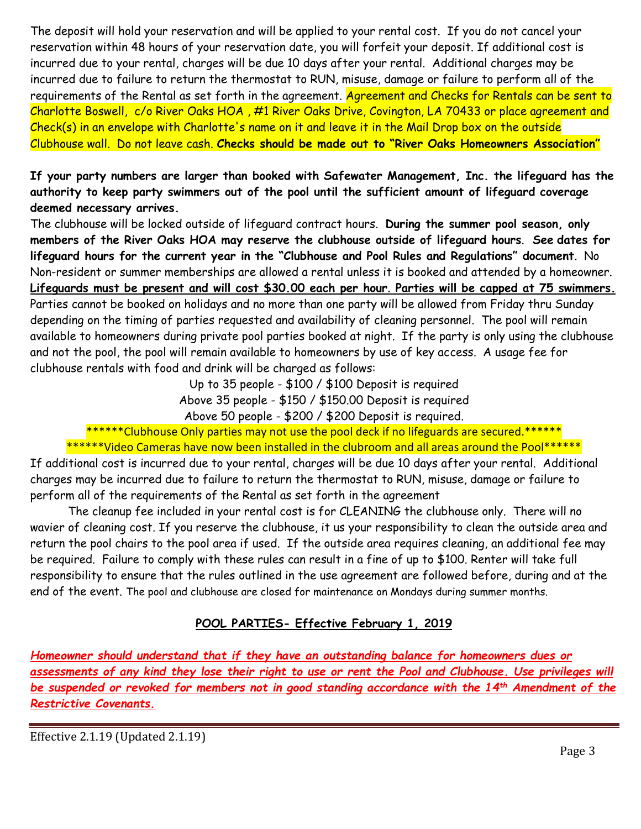The deposit will hold your reservation and will be applied to your rental cost. If you do not cancel your reservation within 48 hours of your reservation date, you will forfeit your deposit. If additional cost is incurred due to your rental, charges will be due 10 days after your rental. Additional charges may be incurred due to failure to return the thermostat to RUN, misuse, damage or failure to perform all of the requirements of the Rental as set forth in the agreement. Agreement and Checks for Rentals can be sent to Charlotte Boswell, c/o River Oaks HOA , #1 River Oaks Drive, Covington, LA 70433 or place agreement and Check(s) in an envelope with Charlotte's name on it and leave it in the Mail Drop box on the outside Clubhouse wall. Do not leave cash. **Checks should be made out to "River Oaks Homeowners Association"**

**If your party numbers are larger than booked with Safewater Management, Inc. the lifeguard has the authority to keep party swimmers out of the pool until the sufficient amount of lifeguard coverage deemed necessary arrives.** 

The clubhouse will be locked outside of lifeguard contract hours. **During the summer pool season, only members of the River Oaks HOA may reserve the clubhouse outside of lifeguard hours**. **See dates for lifeguard hours for the current year in the "Clubhouse and Pool Rules and Regulations" document**. No Non-resident or summer memberships are allowed a rental unless it is booked and attended by a homeowner. **Lifeguards must be present and will cost \$30.00 each per hour**. **Parties will be capped at 75 swimmers.** Parties cannot be booked on holidays and no more than one party will be allowed from Friday thru Sunday depending on the timing of parties requested and availability of cleaning personnel. The pool will remain available to homeowners during private pool parties booked at night. If the party is only using the clubhouse and not the pool, the pool will remain available to homeowners by use of key access. A usage fee for clubhouse rentals with food and drink will be charged as follows:

> Up to 35 people - \$100 / \$100 Deposit is required Above 35 people - \$150 / \$150.00 Deposit is required Above 50 people - \$200 / \$200 Deposit is required.

\*\*\*\*\*\*Clubhouse Only parties may not use the pool deck if no lifeguards are secured.\*\*\*\*\*\* \*\*\*\*\*\*Video Cameras have now been installed in the clubroom and all areas around the Pool\*\*\*\*\*\*

If additional cost is incurred due to your rental, charges will be due 10 days after your rental. Additional charges may be incurred due to failure to return the thermostat to RUN, misuse, damage or failure to perform all of the requirements of the Rental as set forth in the agreement

The cleanup fee included in your rental cost is for CLEANING the clubhouse only. There will no wavier of cleaning cost. If you reserve the clubhouse, it us your responsibility to clean the outside area and return the pool chairs to the pool area if used. If the outside area requires cleaning, an additional fee may be required. Failure to comply with these rules can result in a fine of up to \$100. Renter will take full responsibility to ensure that the rules outlined in the use agreement are followed before, during and at the end of the event. The pool and clubhouse are closed for maintenance on Mondays during summer months.

### **POOL PARTIES- Effective February 1, 2019**

*Homeowner should understand that if they have an outstanding balance for homeowners dues or assessments of any kind they lose their right to use or rent the Pool and Clubhouse. Use privileges will be suspended or revoked for members not in good standing accordance with the 14th Amendment of the Restrictive Covenants.*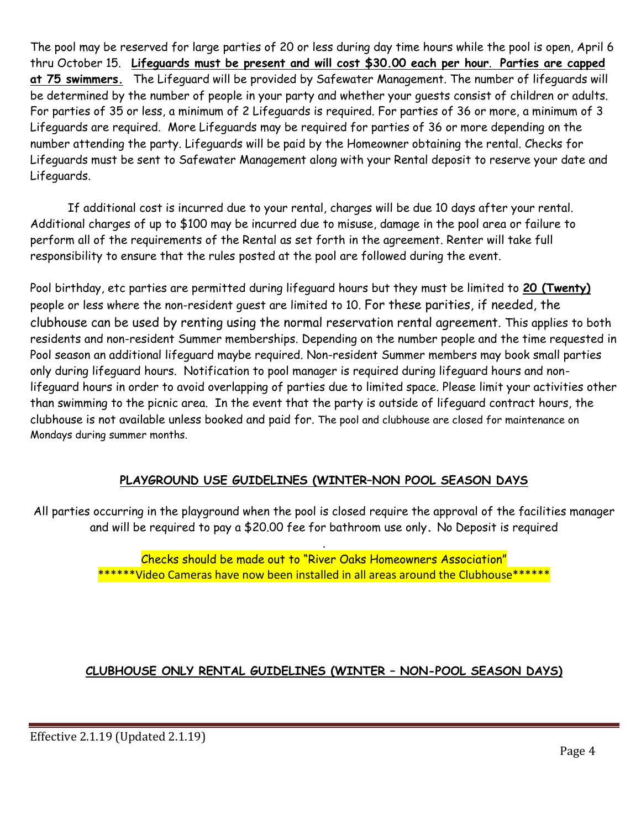The pool may be reserved for large parties of 20 or less during day time hours while the pool is open, April 6 thru October 15. **Lifeguards must be present and will cost \$30.00 each per hour**. **Parties are capped at 75 swimmers.** The Lifeguard will be provided by Safewater Management. The number of lifeguards will be determined by the number of people in your party and whether your guests consist of children or adults. For parties of 35 or less, a minimum of 2 Lifeguards is required. For parties of 36 or more, a minimum of 3 Lifeguards are required. More Lifeguards may be required for parties of 36 or more depending on the number attending the party. Lifeguards will be paid by the Homeowner obtaining the rental. Checks for Lifeguards must be sent to Safewater Management along with your Rental deposit to reserve your date and Lifeguards.

If additional cost is incurred due to your rental, charges will be due 10 days after your rental. Additional charges of up to \$100 may be incurred due to misuse, damage in the pool area or failure to perform all of the requirements of the Rental as set forth in the agreement. Renter will take full responsibility to ensure that the rules posted at the pool are followed during the event.

Pool birthday, etc parties are permitted during lifeguard hours but they must be limited to **20 (Twenty)** people or less where the non-resident guest are limited to 10. For these parities, if needed, the clubhouse can be used by renting using the normal reservation rental agreement. This applies to both residents and non-resident Summer memberships. Depending on the number people and the time requested in Pool season an additional lifeguard maybe required. Non-resident Summer members may book small parties only during lifeguard hours. Notification to pool manager is required during lifeguard hours and nonlifeguard hours in order to avoid overlapping of parties due to limited space. Please limit your activities other than swimming to the picnic area. In the event that the party is outside of lifeguard contract hours, the clubhouse is not available unless booked and paid for. The pool and clubhouse are closed for maintenance on Mondays during summer months.

### **PLAYGROUND USE GUIDELINES (WINTER–NON POOL SEASON DAYS**

All parties occurring in the playground when the pool is closed require the approval of the facilities manager and will be required to pay a \$20.00 fee for bathroom use only**.** No Deposit is required

> Checks should be made out to "River Oaks Homeowners Association" \*\*\*\*\*\*Video Cameras have now been installed in all areas around the Clubhouse\*\*\*\*\*\*

.

### **CLUBHOUSE ONLY RENTAL GUIDELINES (WINTER – NON-POOL SEASON DAYS)**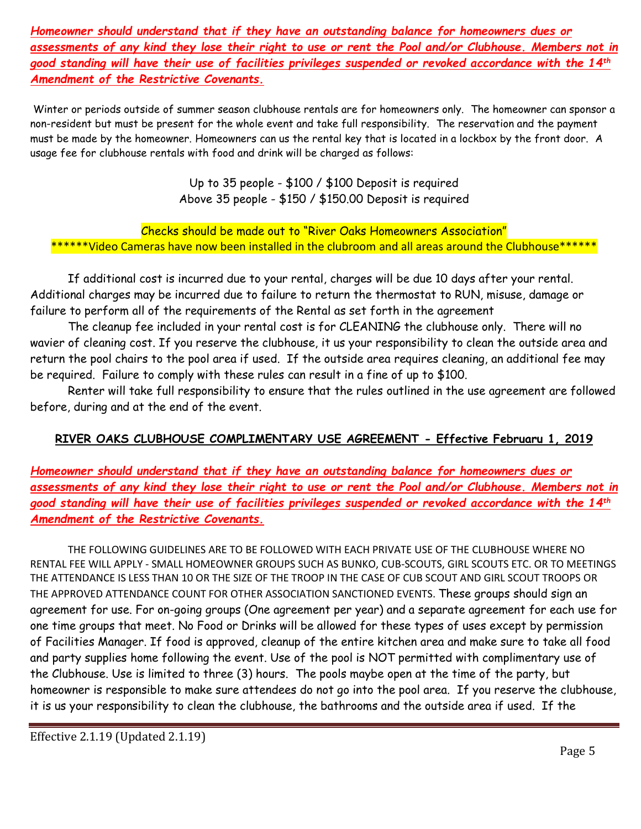*Homeowner should understand that if they have an outstanding balance for homeowners dues or assessments of any kind they lose their right to use or rent the Pool and/or Clubhouse. Members not in good standing will have their use of facilities privileges suspended or revoked accordance with the 14th Amendment of the Restrictive Covenants.*

Winter or periods outside of summer season clubhouse rentals are for homeowners only. The homeowner can sponsor a non-resident but must be present for the whole event and take full responsibility. The reservation and the payment must be made by the homeowner. Homeowners can us the rental key that is located in a lockbox by the front door. A usage fee for clubhouse rentals with food and drink will be charged as follows:

> Up to 35 people - \$100 / \$100 Deposit is required Above 35 people - \$150 / \$150.00 Deposit is required

Checks should be made out to "River Oaks Homeowners Association" \*\*\*\*Video Cameras have now been installed in the clubroom and all areas around the Clubhouse\*\*\*\*\*\*

If additional cost is incurred due to your rental, charges will be due 10 days after your rental. Additional charges may be incurred due to failure to return the thermostat to RUN, misuse, damage or failure to perform all of the requirements of the Rental as set forth in the agreement

The cleanup fee included in your rental cost is for CLEANING the clubhouse only. There will no wavier of cleaning cost. If you reserve the clubhouse, it us your responsibility to clean the outside area and return the pool chairs to the pool area if used. If the outside area requires cleaning, an additional fee may be required. Failure to comply with these rules can result in a fine of up to \$100.

Renter will take full responsibility to ensure that the rules outlined in the use agreement are followed before, during and at the end of the event.

### **RIVER OAKS CLUBHOUSE COMPLIMENTARY USE AGREEMENT - Effective Februaru 1, 2019**

*Homeowner should understand that if they have an outstanding balance for homeowners dues or assessments of any kind they lose their right to use or rent the Pool and/or Clubhouse. Members not in good standing will have their use of facilities privileges suspended or revoked accordance with the 14th Amendment of the Restrictive Covenants.*

THE FOLLOWING GUIDELINES ARE TO BE FOLLOWED WITH EACH PRIVATE USE OF THE CLUBHOUSE WHERE NO RENTAL FEE WILL APPLY - SMALL HOMEOWNER GROUPS SUCH AS BUNKO, CUB-SCOUTS, GIRL SCOUTS ETC. OR TO MEETINGS THE ATTENDANCE IS LESS THAN 10 OR THE SIZE OF THE TROOP IN THE CASE OF CUB SCOUT AND GIRL SCOUT TROOPS OR THE APPROVED ATTENDANCE COUNT FOR OTHER ASSOCIATION SANCTIONED EVENTS. These groups should sign an agreement for use. For on-going groups (One agreement per year) and a separate agreement for each use for one time groups that meet. No Food or Drinks will be allowed for these types of uses except by permission of Facilities Manager. If food is approved, cleanup of the entire kitchen area and make sure to take all food and party supplies home following the event. Use of the pool is NOT permitted with complimentary use of the Clubhouse. Use is limited to three (3) hours. The pools maybe open at the time of the party, but homeowner is responsible to make sure attendees do not go into the pool area. If you reserve the clubhouse, it is us your responsibility to clean the clubhouse, the bathrooms and the outside area if used. If the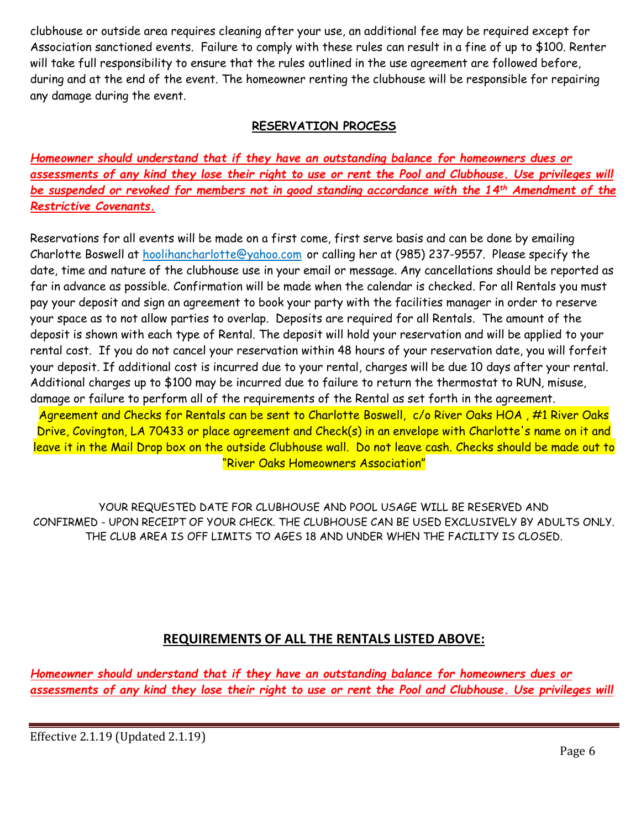clubhouse or outside area requires cleaning after your use, an additional fee may be required except for Association sanctioned events. Failure to comply with these rules can result in a fine of up to \$100. Renter will take full responsibility to ensure that the rules outlined in the use agreement are followed before, during and at the end of the event. The homeowner renting the clubhouse will be responsible for repairing any damage during the event.

### **RESERVATION PROCESS**

*Homeowner should understand that if they have an outstanding balance for homeowners dues or assessments of any kind they lose their right to use or rent the Pool and Clubhouse. Use privileges will be suspended or revoked for members not in good standing accordance with the 14th Amendment of the Restrictive Covenants.*

Reservations for all events will be made on a first come, first serve basis and can be done by emailing Charlotte Boswell at [hoolihancharlotte@yahoo.com](mailto:hoolihancharlotte@yahoo.com) or calling her at (985) 237-9557. Please specify the date, time and nature of the clubhouse use in your email or message. Any cancellations should be reported as far in advance as possible. Confirmation will be made when the calendar is checked. For all Rentals you must pay your deposit and sign an agreement to book your party with the facilities manager in order to reserve your space as to not allow parties to overlap. Deposits are required for all Rentals. The amount of the deposit is shown with each type of Rental. The deposit will hold your reservation and will be applied to your rental cost. If you do not cancel your reservation within 48 hours of your reservation date, you will forfeit your deposit. If additional cost is incurred due to your rental, charges will be due 10 days after your rental. Additional charges up to \$100 may be incurred due to failure to return the thermostat to RUN, misuse, damage or failure to perform all of the requirements of the Rental as set forth in the agreement. Agreement and Checks for Rentals can be sent to Charlotte Boswell, c/o River Oaks HOA, #1 River Oaks Drive, Covington, LA 70433 or place agreement and Check(s) in an envelope with Charlotte's name on it and

leave it in the Mail Drop box on the outside Clubhouse wall. Do not leave cash. Checks should be made out to "River Oaks Homeowners Association"

YOUR REQUESTED DATE FOR CLUBHOUSE AND POOL USAGE WILL BE RESERVED AND CONFIRMED - UPON RECEIPT OF YOUR CHECK. THE CLUBHOUSE CAN BE USED EXCLUSIVELY BY ADULTS ONLY. THE CLUB AREA IS OFF LIMITS TO AGES 18 AND UNDER WHEN THE FACILITY IS CLOSED.

### **REQUIREMENTS OF ALL THE RENTALS LISTED ABOVE:**

*Homeowner should understand that if they have an outstanding balance for homeowners dues or assessments of any kind they lose their right to use or rent the Pool and Clubhouse. Use privileges will*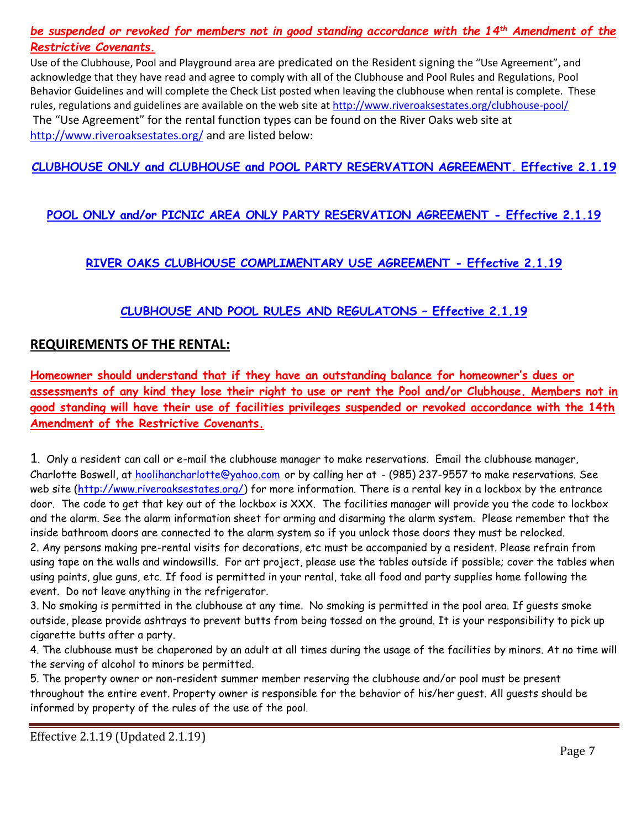*be suspended or revoked for members not in good standing accordance with the 14th Amendment of the Restrictive Covenants.*

Use of the Clubhouse, Pool and Playground area are predicated on the Resident signing the "Use Agreement", and acknowledge that they have read and agree to comply with all of the Clubhouse and Pool Rules and Regulations, Pool Behavior Guidelines and will complete the Check List posted when leaving the clubhouse when rental is complete. These rules, regulations and guidelines are available on the web site at <http://www.riveroaksestates.org/clubhouse-pool/> The "Use Agreement" for the rental function types can be found on the River Oaks web site at <http://www.riveroaksestates.org/> and are listed below:

### **CLUBHOUSE ONLY and CLUBHOUSE [and POOL PARTY RESERVATION AGREEMENT. Effective](2019%20Rental%20Agreement.1%20-%20Clubhouse%20and%20Pool%20Updated%202.1.19.doc) 2.1.19**

### **[POOL ONLY and/or PICNIC AREA ONLY PARTY RESERVATION AGREEMENT -](2019%20Rental%20Agreement.1%20-%20Pool%20and%20Picnic%20Area%20Updated%202.1.19.doc) Effective 2.1.19**

### **[RIVER OAKS CLUBHOUSE COMPLIMENTARY USE AGREEMENT](Clubhouse%20Complimentary%20Use%20Agreement%20Effective%202.1.19%20(Updated%202.1.19).doc) - Effective 2.1.19**

### **[CLUBHOUSE AND POOL RULES AND REGULATONS](2019%20Clubhouse%20and%20Pool%20%20Rules.1%20%20Effective%202.1.19%20Updated%202.1.19.doc) – Effective 2.1.19**

### **REQUIREMENTS OF THE RENTAL:**

**Homeowner should understand that if they have an outstanding balance for homeowner's dues or assessments of any kind they lose their right to use or rent the Pool and/or Clubhouse. Members not in good standing will have their use of facilities privileges suspended or revoked accordance with the 14th Amendment of the Restrictive Covenants.**

1. Only a resident can call or e-mail the clubhouse manager to make reservations. Email the clubhouse manager, Charlotte Boswell, at [hoolihancharlotte@yahoo.com](mailto:hoolihancharlotte@yahoo.com) or by calling her at - (985) 237-9557 to make reservations. See web site [\(http://www.riveroaksestates.org/\)](http://www.riveroaksestates.org/) for more information. There is a rental key in a lockbox by the entrance door. The code to get that key out of the lockbox is XXX. The facilities manager will provide you the code to lockbox and the alarm. See the alarm information sheet for arming and disarming the alarm system. Please remember that the inside bathroom doors are connected to the alarm system so if you unlock those doors they must be relocked. 2. Any persons making pre-rental visits for decorations, etc must be accompanied by a resident. Please refrain from using tape on the walls and windowsills. For art project, please use the tables outside if possible; cover the tables when using paints, glue guns, etc. If food is permitted in your rental, take all food and party supplies home following the event. Do not leave anything in the refrigerator.

3. No smoking is permitted in the clubhouse at any time. No smoking is permitted in the pool area. If guests smoke outside, please provide ashtrays to prevent butts from being tossed on the ground. It is your responsibility to pick up cigarette butts after a party.

4. The clubhouse must be chaperoned by an adult at all times during the usage of the facilities by minors. At no time will the serving of alcohol to minors be permitted.

5. The property owner or non-resident summer member reserving the clubhouse and/or pool must be present throughout the entire event. Property owner is responsible for the behavior of his/her guest. All guests should be informed by property of the rules of the use of the pool.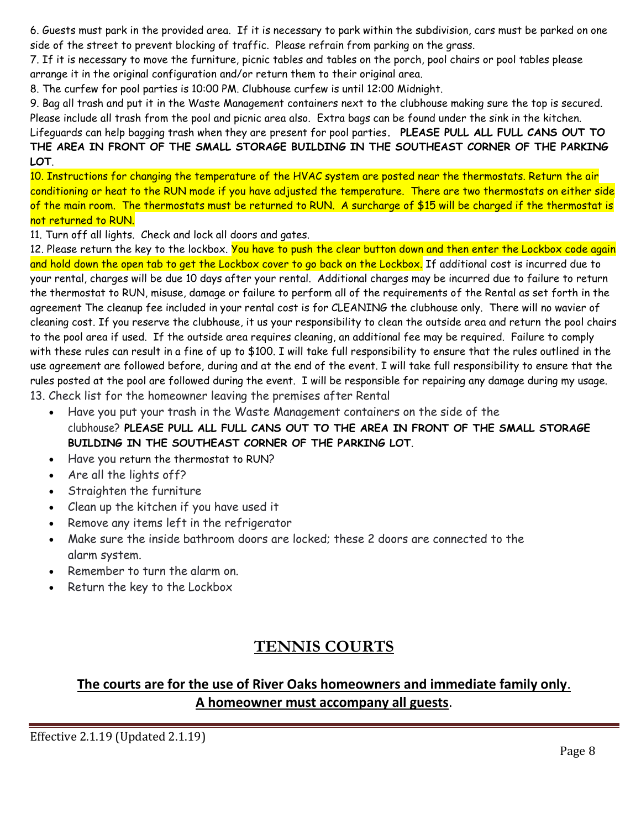6. Guests must park in the provided area. If it is necessary to park within the subdivision, cars must be parked on one side of the street to prevent blocking of traffic. Please refrain from parking on the grass.

7. If it is necessary to move the furniture, picnic tables and tables on the porch, pool chairs or pool tables please arrange it in the original configuration and/or return them to their original area.

8. The curfew for pool parties is 10:00 PM. Clubhouse curfew is until 12:00 Midnight.

9. Bag all trash and put it in the Waste Management containers next to the clubhouse making sure the top is secured. Please include all trash from the pool and picnic area also. Extra bags can be found under the sink in the kitchen. Lifeguards can help bagging trash when they are present for pool parties**. PLEASE PULL ALL FULL CANS OUT TO** 

# **THE AREA IN FRONT OF THE SMALL STORAGE BUILDING IN THE SOUTHEAST CORNER OF THE PARKING LOT**.

10. Instructions for changing the temperature of the HVAC system are posted near the thermostats. Return the air conditioning or heat to the RUN mode if you have adjusted the temperature. There are two thermostats on either side of the main room. The thermostats must be returned to RUN. A surcharge of \$15 will be charged if the thermostat is not returned to RUN.

11. Turn off all lights. Check and lock all doors and gates.

12. Please return the key to the lockbox. <mark>You have to push the clear button down and then enter the Lockbox code again</mark> and hold down the open tab to get the Lockbox cover to go back on the Lockbox. If additional cost is incurred due to your rental, charges will be due 10 days after your rental. Additional charges may be incurred due to failure to return the thermostat to RUN, misuse, damage or failure to perform all of the requirements of the Rental as set forth in the agreement The cleanup fee included in your rental cost is for CLEANING the clubhouse only. There will no wavier of cleaning cost. If you reserve the clubhouse, it us your responsibility to clean the outside area and return the pool chairs to the pool area if used. If the outside area requires cleaning, an additional fee may be required. Failure to comply with these rules can result in a fine of up to \$100. I will take full responsibility to ensure that the rules outlined in the use agreement are followed before, during and at the end of the event. I will take full responsibility to ensure that the rules posted at the pool are followed during the event. I will be responsible for repairing any damage during my usage. 13. Check list for the homeowner leaving the premises after Rental

- Have you put your trash in the Waste Management containers on the side of the clubhouse? **PLEASE PULL ALL FULL CANS OUT TO THE AREA IN FRONT OF THE SMALL STORAGE BUILDING IN THE SOUTHEAST CORNER OF THE PARKING LOT**.
- Have you return the thermostat to RUN?
- Are all the lights off?
- Straighten the furniture
- Clean up the kitchen if you have used it
- Remove any items left in the refrigerator
- Make sure the inside bathroom doors are locked; these 2 doors are connected to the alarm system.
- Remember to turn the alarm on.
- Return the key to the Lockbox

# **TENNIS COURTS**

## **The courts are for the use of River Oaks homeowners and immediate family only**. **A homeowner must accompany all guests**.